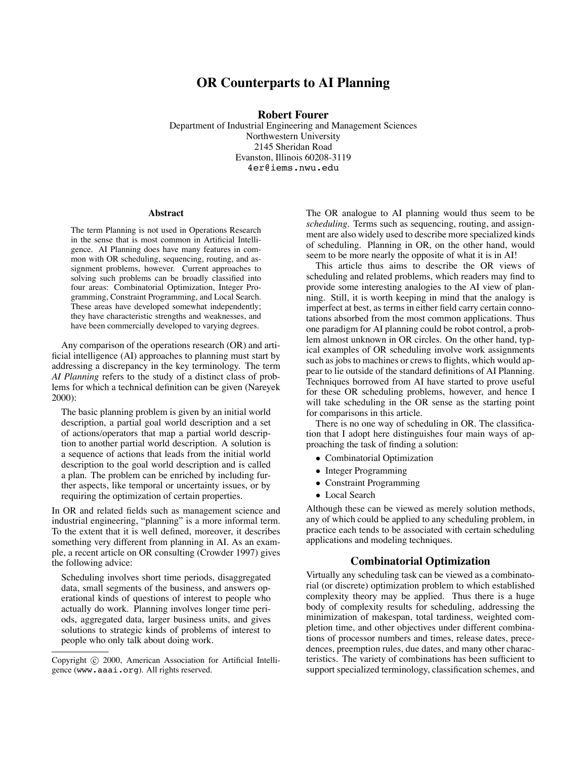# **OR Counterparts to AI Planning**

**Robert Fourer**

Department of Industrial Engineering and Management Sciences Northwestern University 2145 Sheridan Road Evanston, Illinois 60208-3119 4er@iems.nwu.edu

#### **Abstract**

The term Planning is not used in Operations Research in the sense that is most common in Artificial Intelligence. AI Planning does have many features in common with OR scheduling, sequencing, routing, and assignment problems, however. Current approaches to solving such problems can be broadly classified into four areas: Combinatorial Optimization, Integer Programming, Constraint Programming, and Local Search. These areas have developed somewhat independently; they have characteristic strengths and weaknesses, and have been commercially developed to varying degrees.

Any comparison of the operations research (OR) and arti ficial intelligence (AI) approaches to planning must start by addressing a discrepancy in the key terminology. The term *AI Planning* refers to the study of a distinct class of problems for which a technical definition can be given (Nareyek 2000):

The basic planning problem is given by an initial world description, a partial goal world description and a set of actions/operators that map a partial world description to another partial world description. A solution is a sequence of actions that leads from the initial world description to the goal world description and is called a plan. The problem can be enriched by including further aspects, like temporal or uncertainty issues, or by requiring the optimization of certain properties.

In OR and related fields such as management science and industrial engineering, "planning" is a more informal term. To the extent that it is well defined, moreover, it describes something very different from planning in AI. As an example, a recent article on OR consulting (Crowder 1997) gives the following advice:

Scheduling involves short time periods, disaggregated data, small segments of the business, and answers operational kinds of questions of interest to people who actually do work. Planning involves longer time periods, aggregated data, larger business units, and gives solutions to strategic kinds of problems of interest to people who only talk about doing work.

The OR analogue to AI planning would thus seem to be *scheduling.* Terms such as sequencing, routing, and assignment are also widely used to describe more specialized kinds of scheduling. Planning in OR, on the other hand, would seem to be more nearly the opposite of what it is in AI!

This article thus aims to describe the OR views of scheduling and related problems, which readers may find to provide some interesting analogies to the AI view of planning. Still, it is worth keeping in mind that the analogy is imperfect at best, as terms in either field carry certain connotations absorbed from the most common applications. Thus one paradigm for AI planning could be robot control, a problem almost unknown in OR circles. On the other hand, typical examples of OR scheduling involve work assignments such as jobs to machines or crews to flights, which would appear to lie outside of the standard definitions of AI Planning. Techniques borrowed from AI have started to prove useful for these OR scheduling problems, however, and hence I will take scheduling in the OR sense as the starting point for comparisons in this article.

There is no one way of scheduling in OR. The classification that I adopt here distinguishes four main ways of approaching the task of finding a solution:

- Combinatorial Optimization
- Integer Programming
- Constraint Programming
- Local Search

Although these can be viewed as merely solution methods, any of which could be applied to any scheduling problem, in practice each tends to be associated with certain scheduling applications and modeling techniques.

# **Combinatorial Optimization**

Virtually any scheduling task can be viewed as a combinatorial (or discrete) optimization problem to which established complexity theory may be applied. Thus there is a huge body of complexity results for scheduling, addressing the minimization of makespan, total tardiness, weighted completion time, and other objectives under different combinations of processor numbers and times, release dates, precedences, preemption rules, due dates, and many other characteristics. The variety of combinations has been sufficient to support specialized terminology, classification schemes, and

Copyright © 2000, American Association for Artificial Intelligence (www.aaai.org). All rights reserved.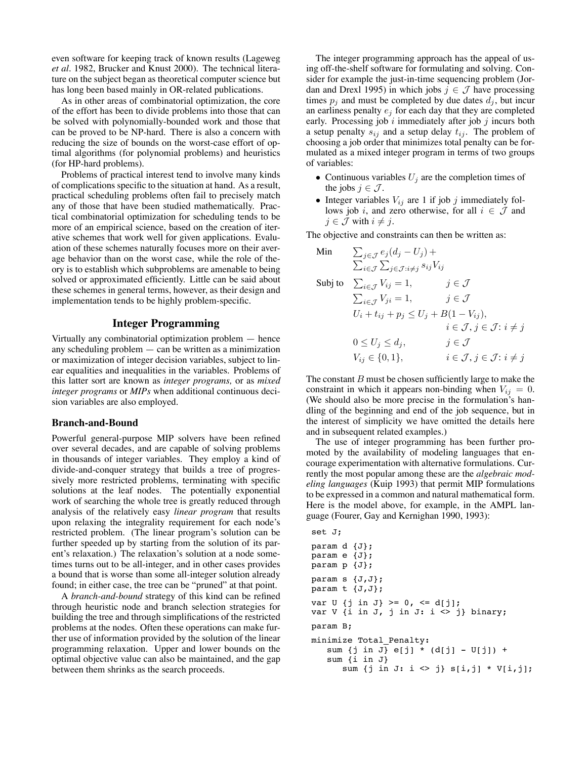even software for keeping track of known results (Lageweg *et al.* 1982, Brucker and Knust 2000). The technical literature on the subject began as theoretical computer science but has long been based mainly in OR-related publications.

As in other areas of combinatorial optimization, the core of the effort has been to divide problems into those that can be solved with polynomially-bounded work and those that can be proved to be NP-hard. There is also a concern with reducing the size of bounds on the worst-case effort of optimal algorithms (for polynomial problems) and heuristics (for HP-hard problems).

Problems of practical interest tend to involve many kinds of complications specific to the situation at hand. As a result, practical scheduling problems often fail to precisely match any of those that have been studied mathematically. Practical combinatorial optimization for scheduling tends to be more of an empirical science, based on the creation of iterative schemes that work well for given applications. Evaluation of these schemes naturally focuses more on their average behavior than on the worst case, while the role of theory is to establish which subproblems are amenable to being solved or approximated efficiently. Little can be said about these schemes in general terms, however, as their design and implementation tends to be highly problem-specific.

## **Integer Programming**

Virtually any combinatorial optimization problem  $-$  hence any scheduling problem  $-$  can be written as a minimization or maximization of integer decision variables, subject to linear equalities and inequalities in the variables. Problems of this latter sort are known as *integer programs,* or as *mixed integer programs* or *MIPs* when additional continuous decision variables are also employed.

#### **Branch-and-Bound**

Powerful general-purpose MIP solvers have been refined over several decades, and are capable of solving problems in thousands of integer variables. They employ a kind of divide-and-conquer strategy that builds a tree of progressively more restricted problems, terminating with specific solutions at the leaf nodes. The potentially exponential work of searching the whole tree is greatly reduced through analysis of the relatively easy *linear program* that results upon relaxing the integrality requirement for each node's restricted problem. (The linear program's solution can be further speeded up by starting from the solution of its parent's relaxation.) The relaxation's solution at a node sometimes turns out to be all-integer, and in other cases provides a bound that is worse than some all-integer solution already found; in either case, the tree can be "pruned" at that point.

A *branch-and-bound* strategy of this kind can be refined through heuristic node and branch selection strategies for building the tree and through simplifications of the restricted problems at the nodes. Often these operations can make further use of information provided by the solution of the linear programming relaxation. Upper and lower bounds on the optimal objective value can also be maintained, and the gap between them shrinks as the search proceeds.

The integer programming approach has the appeal of using off-the-shelf software for formulating and solving. Consider for example the just-in-time sequencing problem (Jordan and Drexl 1995) in which jobs  $j \in \mathcal{J}$  have processing times  $p_i$  and must be completed by due dates  $d_i$ , but incur an earliness penalty *e<sup>j</sup>* for each day that they are completed early. Processing job *i* immediately after job *j* incurs both a setup penalty  $s_{ij}$  and a setup delay  $t_{ij}$ . The problem of choosing a job order that minimizes total penalty can be formulated as a mixed integer program in terms of two groups of variables:

- Continuous variables  $U_j$  are the completion times of the jobs  $j \in \mathcal{J}$ .
- Integer variables  $V_{ij}$  are 1 if job  $j$  immediately follows job *i*, and zero otherwise, for all  $i \in \mathcal{J}$  and *j* ∈ *J* with *i*  $\neq$  *j*.

The objective and constraints can then be written as:

Min 
$$
\sum_{j \in \mathcal{J}} e_j (d_j - U_j) +
$$

$$
\sum_{i \in \mathcal{J}} \sum_{j \in \mathcal{J}: i \neq j} s_{ij} V_{ij}
$$
  
Subject 
$$
\sum_{i \in \mathcal{J}} V_{ij} = 1, \qquad j \in \mathcal{J}
$$

$$
\sum_{i \in \mathcal{J}} V_{ji} = 1, \qquad j \in \mathcal{J}
$$

$$
U_i + t_{ij} + p_j \le U_j + B(1 - V_{ij}),
$$

$$
i \in \mathcal{J}, j \in \mathcal{J}: i \neq j
$$

$$
0 \le U_j \le d_j, \qquad j \in \mathcal{J}
$$

$$
V_{ij} \in \{0, 1\}, \qquad i \in \mathcal{J}, j \in \mathcal{J}: i \neq j
$$

The constant  $B$  must be chosen sufficiently large to make the constraint in which it appears non-binding when  $V_{ij} = 0$ . (We should also be more precise in the formulation's handling of the beginning and end of the job sequence, but in the interest of simplicity we have omitted the details here and in subsequent related examples.)

The use of integer programming has been further promoted by the availability of modeling languages that encourage experimentation with alternative formulations. Currently the most popular among these are the *algebraic modeling languages* (Kuip 1993) that permit MIP formulations to be expressed in a common and natural mathematical form. Here is the model above, for example, in the AMPL language (Fourer, Gay and Kernighan 1990, 1993):

```
set J;
param d {J};
param e {J};
param p {J};
param s \{J,J\};
param t \{J,J\};
var U \{j \in J\} >= 0, <= d[j];
var V \{i \in J, j \in J: i \leq j\} binary;
param B;
minimize Total_Penalty:
   sum {j in J} e[j] * (d[j] - U[j]) +
   sum {i in J}
      sum {j in J: i <> j} s[i,j] * V[i,j];
```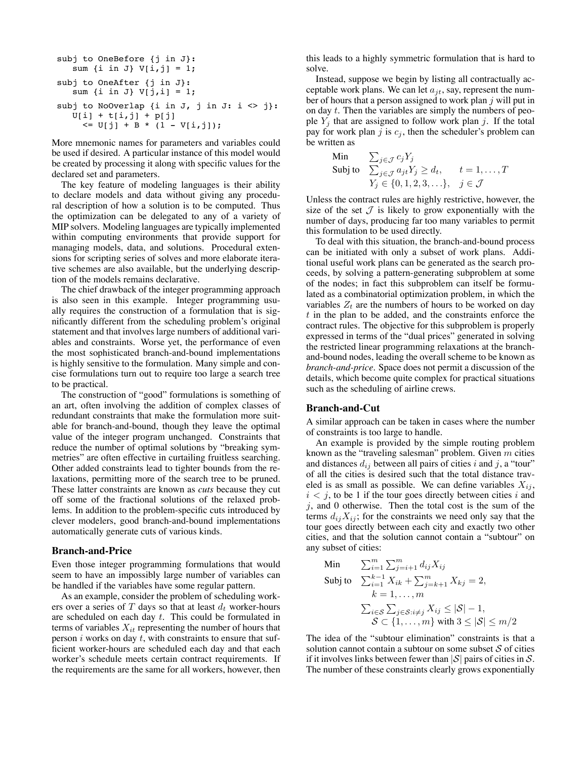```
subj to OneBefore {j in J}:
   sum \{i \text{ in } J\} V[i,j] = 1;subj to OneAfter {j in J}:
   sum \{i \in J\} V[j,i] = 1;subj to NoOverlap {i in J, j in J: i \langle j}:
   U[i] + t[i,j] + p[j]
     \le U[j] + B * (1 - V[i,j]);
```
More mnemonic names for parameters and variables could be used if desired. A particular instance of this model would be created by processing it along with specific values for the declared set and parameters.

The key feature of modeling languages is their ability to declare models and data without giving any procedural description of how a solution is to be computed. Thus the optimization can be delegated to any of a variety of MIP solvers. Modeling languages are typically implemented within computing environments that provide support for managing models, data, and solutions. Procedural extensions for scripting series of solves and more elaborate iterative schemes are also available, but the underlying description of the models remains declarative.

The chief drawback of the integer programming approach is also seen in this example. Integer programming usually requires the construction of a formulation that is significantly different from the scheduling problem's original statement and that involves large numbers of additional variables and constraints. Worse yet, the performance of even the most sophisticated branch-and-bound implementations is highly sensitive to the formulation. Many simple and concise formulations turn out to require too large a search tree to be practical.

The construction of "good" formulations is something of an art, often involving the addition of complex classes of redundant constraints that make the formulation more suitable for branch-and-bound, though they leave the optimal value of the integer program unchanged. Constraints that reduce the number of optimal solutions by "breaking symmetries" are often effective in curtailing fruitless searching. Other added constraints lead to tighter bounds from the relaxations, permitting more of the search tree to be pruned. These latter constraints are known as *cuts* because they cut off some of the fractional solutions of the relaxed problems. In addition to the problem-specific cuts introduced by clever modelers, good branch-and-bound implementations automatically generate cuts of various kinds.

#### **Branch-and-Price**

Even those integer programming formulations that would seem to have an impossibly large number of variables can be handled if the variables have some regular pattern.

As an example, consider the problem of scheduling workers over a series of  $T$  days so that at least  $d_t$  worker-hours are scheduled on each day *t*. This could be formulated in terms of variables  $X_{it}$  representing the number of hours that person *i* works on day *t*, with constraints to ensure that suf ficient worker-hours are scheduled each day and that each worker's schedule meets certain contract requirements. If the requirements are the same for all workers, however, then

this leads to a highly symmetric formulation that is hard to solve.

Instead, suppose we begin by listing all contractually acceptable work plans. We can let *ajt*, say, represent the number of hours that a person assigned to work plan *j* will put in on day *t*. Then the variables are simply the numbers of people  $Y_j$  that are assigned to follow work plan *j*. If the total pay for work plan  $j$  is  $c_j$ , then the scheduler's problem can be written as

Min 
$$
\sum_{j \in \mathcal{J}} c_j Y_j
$$
  
Subject 
$$
\sum_{j \in \mathcal{J}} a_{jt} Y_j \ge d_t, \quad t = 1, ..., T
$$

$$
Y_j \in \{0, 1, 2, 3, ... \}, \quad j \in \mathcal{J}
$$

Unless the contract rules are highly restrictive, however, the size of the set  $\mathcal J$  is likely to grow exponentially with the number of days, producing far too many variables to permit this formulation to be used directly.

To deal with this situation, the branch-and-bound process can be initiated with only a subset of work plans. Additional useful work plans can be generated as the search proceeds, by solving a pattern-generating subproblem at some of the nodes; in fact this subproblem can itself be formulated as a combinatorial optimization problem, in which the variables  $Z_t$  are the numbers of hours to be worked on day *t* in the plan to be added, and the constraints enforce the contract rules. The objective for this subproblem is properly expressed in terms of the "dual prices" generated in solving the restricted linear programming relaxations at the branchand-bound nodes, leading the overall scheme to be known as *branch-and-price*. Space does not permit a discussion of the details, which become quite complex for practical situations such as the scheduling of airline crews.

#### **Branch-and-Cut**

A similar approach can be taken in cases where the number of constraints is too large to handle.

An example is provided by the simple routing problem known as the "traveling salesman" problem. Given *m* cities and distances  $d_{ij}$  between all pairs of cities *i* and *j*, a "tour" of all the cities is desired such that the total distance traveled is as small as possible. We can define variables  $X_{ij}$ ,  $i < j$ , to be 1 if the tour goes directly between cities *i* and *j*, and 0 otherwise. Then the total cost is the sum of the terms  $d_{ij}X_{ij}$ ; for the constraints we need only say that the tour goes directly between each city and exactly two other cities, and that the solution cannot contain a "subtour" on any subset of cities:

Min 
$$
\sum_{i=1}^{m} \sum_{j=i+1}^{m} d_{ij} X_{ij}
$$
  
Subject 
$$
\sum_{i=1}^{k-1} X_{ik} + \sum_{j=k+1}^{m} X_{kj} = 2,
$$

$$
k = 1, ..., m
$$

$$
\sum_{i \in S} \sum_{j \in S: i \neq j} X_{ij} \leq |\mathcal{S}| - 1,
$$

$$
\mathcal{S} \subset \{1, ..., m\} \text{ with } 3 \leq |\mathcal{S}| \leq m/2
$$

The idea of the "subtour elimination" constraints is that a solution cannot contain a subtour on some subset  $S$  of cities if it involves links between fewer than  $|S|$  pairs of cities in S. The number of these constraints clearly grows exponentially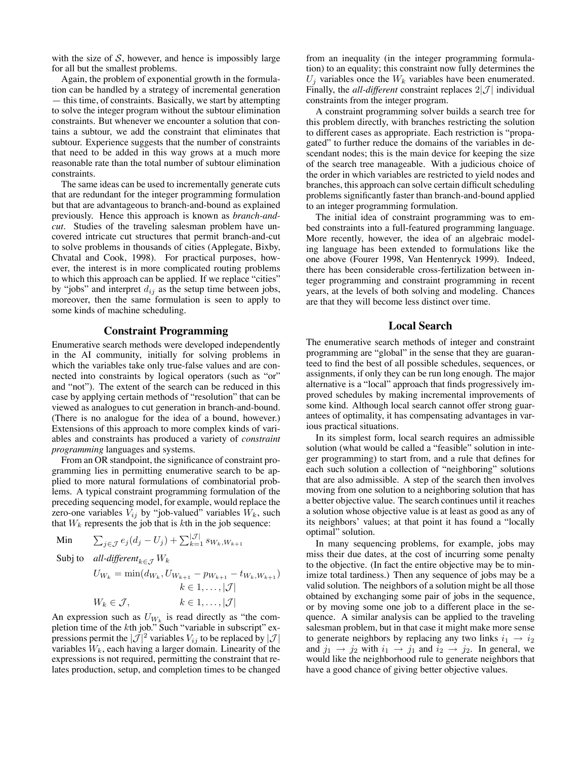with the size of  $S$ , however, and hence is impossibly large for all but the smallest problems.

Again, the problem of exponential growth in the formulation can be handled by a strategy of incremental generation  $-$  this time, of constraints. Basically, we start by attempting to solve the integer program without the subtour elimination constraints. But whenever we encounter a solution that contains a subtour, we add the constraint that eliminates that subtour. Experience suggests that the number of constraints that need to be added in this way grows at a much more reasonable rate than the total number of subtour elimination constraints.

The same ideas can be used to incrementally generate cuts that are redundant for the integer programming formulation but that are advantageous to branch-and-bound as explained previously. Hence this approach is known as *branch-andcut*. Studies of the traveling salesman problem have uncovered intricate cut structures that permit branch-and-cut to solve problems in thousands of cities (Applegate, Bixby, Chvatal and Cook, 1998). For practical purposes, however, the interest is in more complicated routing problems to which this approach can be applied. If we replace "cities" by "jobs" and interpret  $d_{ij}$  as the setup time between jobs, moreover, then the same formulation is seen to apply to some kinds of machine scheduling.

# **Constraint Programming**

Enumerative search methods were developed independently in the AI community, initially for solving problems in which the variables take only true-false values and are connected into constraints by logical operators (such as "or" and "not"). The extent of the search can be reduced in this case by applying certain methods of "resolution" that can be viewed as analogues to cut generation in branch-and-bound. (There is no analogue for the idea of a bound, however.) Extensions of this approach to more complex kinds of variables and constraints has produced a variety of *constraint programming* languages and systems.

From an OR standpoint, the significance of constraint programming lies in permitting enumerative search to be applied to more natural formulations of combinatorial problems. A typical constraint programming formulation of the preceding sequencing model, for example, would replace the zero-one variables  $V_{ij}$  by "job-valued" variables  $W_k$ , such that  $W_k$  represents the job that is  $k$ th in the job sequence:

$$
\text{Min} \qquad \sum_{j \in \mathcal{J}} e_j (d_j - U_j) + \sum_{k=1}^{|\mathcal{J}|} s_{W_k, W_{k+1}}
$$

Subj to *all-different*<sub> $k \in \mathcal{I}$ </sub>  $W_k$ 

 $U_{W_k} = \min(d_{W_k}, U_{W_{k+1}} - p_{W_{k+1}} - t_{W_k, W_{k+1}})$  $k \in 1, \ldots, |\mathcal{J}|$  $W_k \in \mathcal{J}, \qquad k \in 1, \ldots, |\mathcal{J}|$ 

An expression such as  $U_{W_k}$  is read directly as "the completion time of the *k*th job." Such "variable in subscript" expressions permit the  $|\mathcal{J}|^2$  variables  $V_{ij}$  to be replaced by  $|\mathcal{J}|$ variables *Wk*, each having a larger domain. Linearity of the expressions is not required, permitting the constraint that relates production, setup, and completion times to be changed from an inequality (in the integer programming formulation) to an equality; this constraint now fully determines the  $U_j$  variables once the  $W_k$  variables have been enumerated. Finally, the *all-different* constraint replaces  $2|\mathcal{J}|$  individual constraints from the integer program.

A constraint programming solver builds a search tree for this problem directly, with branches restricting the solution to different cases as appropriate. Each restriction is "propagated" to further reduce the domains of the variables in descendant nodes; this is the main device for keeping the size of the search tree manageable. With a judicious choice of the order in which variables are restricted to yield nodes and branches, this approach can solve certain difficult scheduling problems significantly faster than branch-and-bound applied to an integer programming formulation.

The initial idea of constraint programming was to embed constraints into a full-featured programming language. More recently, however, the idea of an algebraic modeling language has been extended to formulations like the one above (Fourer 1998, Van Hentenryck 1999). Indeed, there has been considerable cross-fertilization between integer programming and constraint programming in recent years, at the levels of both solving and modeling. Chances are that they will become less distinct over time.

# **Local Search**

The enumerative search methods of integer and constraint programming are "global" in the sense that they are guaranteed to find the best of all possible schedules, sequences, or assignments, if only they can be run long enough. The major alternative is a "local" approach that finds progressively improved schedules by making incremental improvements of some kind. Although local search cannot offer strong guarantees of optimality, it has compensating advantages in various practical situations.

In its simplest form, local search requires an admissible solution (what would be called a "feasible" solution in integer programming) to start from, and a rule that defines for each such solution a collection of "neighboring" solutions that are also admissible. A step of the search then involves moving from one solution to a neighboring solution that has a better objective value. The search continues until it reaches a solution whose objective value is at least as good as any of its neighbors' values; at that point it has found a "locally optimal" solution.

In many sequencing problems, for example, jobs may miss their due dates, at the cost of incurring some penalty to the objective. (In fact the entire objective may be to minimize total tardiness.) Then any sequence of jobs may be a valid solution. The neighbors of a solution might be all those obtained by exchanging some pair of jobs in the sequence, or by moving some one job to a different place in the sequence. A similar analysis can be applied to the traveling salesman problem, but in that case it might make more sense to generate neighbors by replacing any two links  $i_1 \rightarrow i_2$ and  $j_1 \rightarrow j_2$  with  $i_1 \rightarrow j_1$  and  $i_2 \rightarrow j_2$ . In general, we would like the neighborhood rule to generate neighbors that have a good chance of giving better objective values.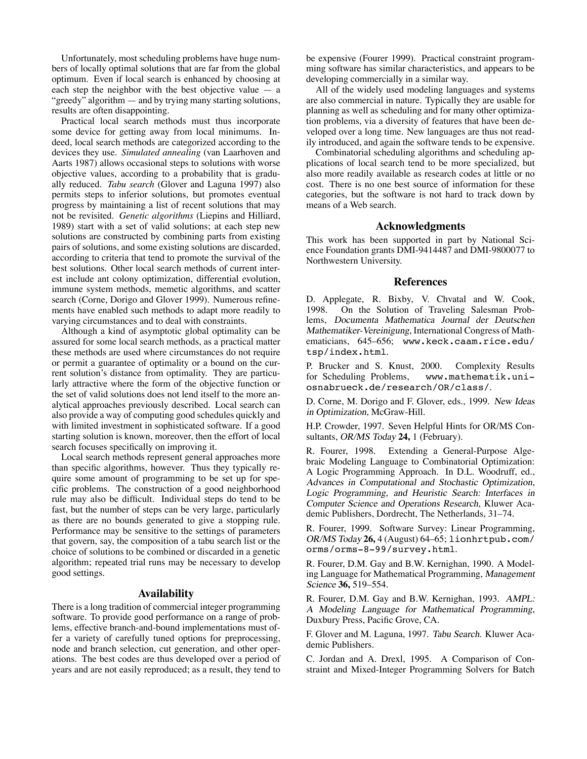Unfortunately, most scheduling problems have huge numbers of locally optimal solutions that are far from the global optimum. Even if local search is enhanced by choosing at each step the neighbor with the best objective value  $-$  a "greedy" algorithm  $-$  and by trying many starting solutions, results are often disappointing.

Practical local search methods must thus incorporate some device for getting away from local minimums. Indeed, local search methods are categorized according to the devices they use. *Simulated annealing* (van Laarhoven and Aarts 1987) allows occasional steps to solutions with worse objective values, according to a probability that is gradually reduced. *Tabu search* (Glover and Laguna 1997) also permits steps to inferior solutions, but promotes eventual progress by maintaining a list of recent solutions that may not be revisited. *Genetic algorithms* (Liepins and Hilliard, 1989) start with a set of valid solutions; at each step new solutions are constructed by combining parts from existing pairs of solutions, and some existing solutions are discarded, according to criteria that tend to promote the survival of the best solutions. Other local search methods of current interest include ant colony optimization, differential evolution, immune system methods, memetic algorithms, and scatter search (Corne, Dorigo and Glover 1999). Numerous refinements have enabled such methods to adapt more readily to varying circumstances and to deal with constraints.

Although a kind of asymptotic global optimality can be assured for some local search methods, as a practical matter these methods are used where circumstances do not require or permit a guarantee of optimality or a bound on the current solution's distance from optimality. They are particularly attractive where the form of the objective function or the set of valid solutions does not lend itself to the more analytical approaches previously described. Local search can also provide a way of computing good schedules quickly and with limited investment in sophisticated software. If a good starting solution is known, moreover, then the effort of local search focuses specifically on improving it.

Local search methods represent general approaches more than specific algorithms, however. Thus they typically require some amount of programming to be set up for specific problems. The construction of a good neighborhood rule may also be difficult. Individual steps do tend to be fast, but the number of steps can be very large, particularly as there are no bounds generated to give a stopping rule. Performance may be sensitive to the settings of parameters that govern, say, the composition of a tabu search list or the choice of solutions to be combined or discarded in a genetic algorithm; repeated trial runs may be necessary to develop good settings.

#### **Availability**

There is a long tradition of commercial integer programming software. To provide good performance on a range of problems, effective branch-and-bound implementations must offer a variety of carefully tuned options for preprocessing, node and branch selection, cut generation, and other operations. The best codes are thus developed over a period of years and are not easily reproduced; as a result, they tend to be expensive (Fourer 1999). Practical constraint programming software has similar characteristics, and appears to be developing commercially in a similar way.

All of the widely used modeling languages and systems are also commercial in nature. Typically they are usable for planning as well as scheduling and for many other optimization problems, via a diversity of features that have been developed over a long time. New languages are thus not readily introduced, and again the software tends to be expensive.

Combinatorial scheduling algorithms and scheduling applications of local search tend to be more specialized, but also more readily available as research codes at little or no cost. There is no one best source of information for these categories, but the software is not hard to track down by means of a Web search.

## **Acknowledgments**

This work has been supported in part by National Science Foundation grants DMI-9414487 and DMI-9800077 to Northwestern University.

# **References**

D. Applegate, R. Bixby, V. Chvatal and W. Cook, 1998. On the Solution of Traveling Salesman Problems, Documenta Mathematica Journal der Deutschen Mathematiker-Vereinigung, International Congress of Mathematicians, 645-656; www.keck.caam.rice.edu/ tsp/index.html.

P. Brucker and S. Knust, 2000. Complexity Results for Scheduling Problems, www.mathematik.uniosnabrueck.de/research/OR/class/.

D. Corne, M. Dorigo and F. Glover, eds., 1999. New Ideas in Optimization, McGraw-Hill.

H.P. Crowder, 1997. Seven Helpful Hints for OR/MS Consultants, OR/MS Today **24,** 1 (February).

R. Fourer, 1998. Extending a General-Purpose Algebraic Modeling Language to Combinatorial Optimization: A Logic Programming Approach. In D.L. Woodruff, ed., Advances in Computational and Stochastic Optimization, Logic Programming, and Heuristic Search: Interfaces in Computer Science and Operations Research, Kluwer Academic Publishers, Dordrecht, The Netherlands, 31-74.

R. Fourer, 1999. Software Survey: Linear Programming, OR/MS Today 26, 4 (August) 64-65; lionhrtpub.com/ orms/orms-8-99/survey.html.

R. Fourer, D.M. Gay and B.W. Kernighan, 1990. A Modeling Language for Mathematical Programming, Management Science 36, 519–554.

R. Fourer, D.M. Gay and B.W. Kernighan, 1993. AMPL: A Modeling Language for Mathematical Programming, Duxbury Press, Pacific Grove, CA.

F. Glover and M. Laguna, 1997. Tabu Search. Kluwer Academic Publishers.

C. Jordan and A. Drexl, 1995. A Comparison of Constraint and Mixed-Integer Programming Solvers for Batch